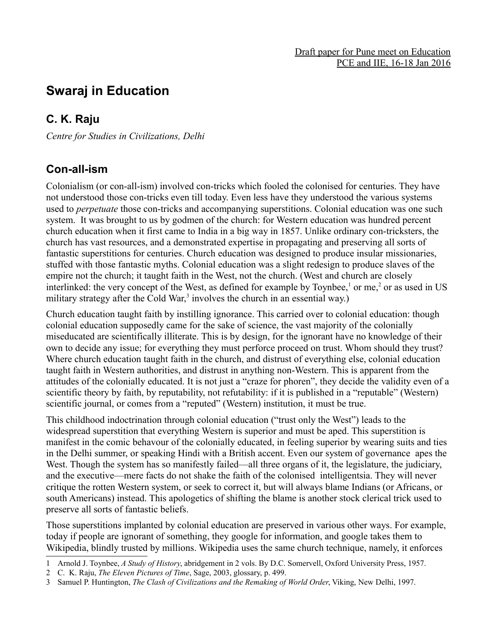# **Swaraj in Education**

## **C. K. Raju**

*Centre for Studies in Civilizations, Delhi*

#### **Con-all-ism**

Colonialism (or con-all-ism) involved con-tricks which fooled the colonised for centuries. They have not understood those con-tricks even till today. Even less have they understood the various systems used to *perpetuate* those con-tricks and accompanying superstitions. Colonial education was one such system. It was brought to us by godmen of the church: for Western education was hundred percent church education when it first came to India in a big way in 1857. Unlike ordinary con-tricksters, the church has vast resources, and a demonstrated expertise in propagating and preserving all sorts of fantastic superstitions for centuries. Church education was designed to produce insular missionaries, stuffed with those fantastic myths. Colonial education was a slight redesign to produce slaves of the empire not the church; it taught faith in the West, not the church. (West and church are closely interlinked: the very concept of the West, as defined for example by Toynbee,<sup>[1](#page-0-0)</sup> or me,<sup>[2](#page-0-1)</sup> or as used in US military strategy after the Cold War,<sup>[3](#page-0-2)</sup> involves the church in an essential way.)

Church education taught faith by instilling ignorance. This carried over to colonial education: though colonial education supposedly came for the sake of science, the vast majority of the colonially miseducated are scientifically illiterate. This is by design, for the ignorant have no knowledge of their own to decide any issue; for everything they must perforce proceed on trust. Whom should they trust? Where church education taught faith in the church, and distrust of everything else, colonial education taught faith in Western authorities, and distrust in anything non-Western. This is apparent from the attitudes of the colonially educated. It is not just a "craze for phoren", they decide the validity even of a scientific theory by faith, by reputability, not refutability: if it is published in a "reputable" (Western) scientific journal, or comes from a "reputed" (Western) institution, it must be true.

This childhood indoctrination through colonial education ("trust only the West") leads to the widespread superstition that everything Western is superior and must be aped. This superstition is manifest in the comic behavour of the colonially educated, in feeling superior by wearing suits and ties in the Delhi summer, or speaking Hindi with a British accent. Even our system of governance apes the West. Though the system has so manifestly failed—all three organs of it, the legislature, the judiciary, and the executive—mere facts do not shake the faith of the colonised intelligentsia. They will never critique the rotten Western system, or seek to correct it, but will always blame Indians (or Africans, or south Americans) instead. This apologetics of shifting the blame is another stock clerical trick used to preserve all sorts of fantastic beliefs.

Those superstitions implanted by colonial education are preserved in various other ways. For example, today if people are ignorant of something, they google for information, and google takes them to Wikipedia, blindly trusted by millions. Wikipedia uses the same church technique, namely, it enforces

<span id="page-0-0"></span><sup>1</sup> Arnold J. Toynbee, *A Study of History*, abridgement in 2 vols. By D.C. Somervell, Oxford University Press, 1957.

<span id="page-0-1"></span><sup>2</sup> C. K. Raju, *The Eleven Pictures of Time*, Sage, 2003, glossary, p. 499.

<span id="page-0-2"></span><sup>3</sup> Samuel P. Huntington, *The Clash of Civilizations and the Remaking of World Order*, Viking, New Delhi, 1997.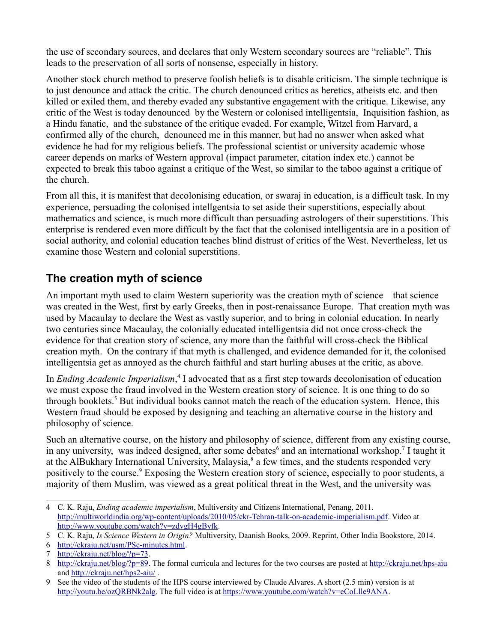the use of secondary sources, and declares that only Western secondary sources are "reliable". This leads to the preservation of all sorts of nonsense, especially in history.

Another stock church method to preserve foolish beliefs is to disable criticism. The simple technique is to just denounce and attack the critic. The church denounced critics as heretics, atheists etc. and then killed or exiled them, and thereby evaded any substantive engagement with the critique. Likewise, any critic of the West is today denounced by the Western or colonised intelligentsia, Inquisition fashion, as a Hindu fanatic, and the substance of the critique evaded. For example, Witzel from Harvard, a confirmed ally of the church, denounced me in this manner, but had no answer when asked what evidence he had for my religious beliefs. The professional scientist or university academic whose career depends on marks of Western approval (impact parameter, citation index etc.) cannot be expected to break this taboo against a critique of the West, so similar to the taboo against a critique of the church.

From all this, it is manifest that decolonising education, or swaraj in education, is a difficult task. In my experience, persuading the colonised intellgentsia to set aside their superstitions, especially about mathematics and science, is much more difficult than persuading astrologers of their superstitions. This enterprise is rendered even more difficult by the fact that the colonised intelligentsia are in a position of social authority, and colonial education teaches blind distrust of critics of the West. Nevertheless, let us examine those Western and colonial superstitions.

### **The creation myth of science**

An important myth used to claim Western superiority was the creation myth of science—that science was created in the West, first by early Greeks, then in post-renaissance Europe. That creation myth was used by Macaulay to declare the West as vastly superior, and to bring in colonial education. In nearly two centuries since Macaulay, the colonially educated intelligentsia did not once cross-check the evidence for that creation story of science, any more than the faithful will cross-check the Biblical creation myth. On the contrary if that myth is challenged, and evidence demanded for it, the colonised intelligentsia get as annoyed as the church faithful and start hurling abuses at the critic, as above.

In *Ending Academic Imperialism*,<sup>[4](#page-1-0)</sup> I advocated that as a first step towards decolonisation of education we must expose the fraud involved in the Western creation story of science. It is one thing to do so through booklets.<sup>[5](#page-1-1)</sup> But individual books cannot match the reach of the education system. Hence, this Western fraud should be exposed by designing and teaching an alternative course in the history and philosophy of science.

Such an alternative course, on the history and philosophy of science, different from any existing course, in any university, was indeed designed, after some debates<sup>[6](#page-1-2)</sup> and an international workshop.<sup>[7](#page-1-3)</sup> I taught it at the AlBukhary International University, Malaysia,<sup>[8](#page-1-4)</sup> a few times, and the students responded very positively to the course.<sup>[9](#page-1-5)</sup> Exposing the Western creation story of science, especially to poor students, a majority of them Muslim, was viewed as a great political threat in the West, and the university was

<span id="page-1-0"></span><sup>4</sup> C. K. Raju, *Ending academic imperialism*, Multiversity and Citizens International, Penang, 2011. http://multiworldindia.org/wp-content/uploads/2010/05/ckr-Tehran-talk-on-academic-imperialism.pdf. Video at http://www.youtube.com/watch?v=zdvgH4gByfk.

<span id="page-1-1"></span><sup>5</sup> C. K. Raju, *Is Science Western in Origin?* Multiversity, Daanish Books, 2009. Reprint, Other India Bookstore, 2014.

<span id="page-1-2"></span><sup>6</sup> [http://ckraju.net/usm/PSc-minutes.html.](http://ckraju.net/usm/PSc-minutes.html)

<span id="page-1-3"></span><sup>7</sup> [http://ckraju.net/blog/?p=73.](http://ckraju.net/blog/?p=73)

<span id="page-1-4"></span><sup>8</sup> [http://ckraju.net/blog/?p=89.](http://ckraju.net/blog/?p=89) The formal curricula and lectures for the two courses are posted at http://ckraju.net/hps-aiu and http://ckraju.net/hps2-aiu/ .

<span id="page-1-5"></span><sup>9</sup> See the video of the students of the HPS course interviewed by Claude Alvares. A short (2.5 min) version is at [http://youtu.be/ozQRBNk2alg.](http://youtu.be/ozQRBNk2alg) The full video is at [https://www.youtube.com/watch?v=eCoLlle9ANA.](https://www.youtube.com/watch?v=eCoLlle9ANA)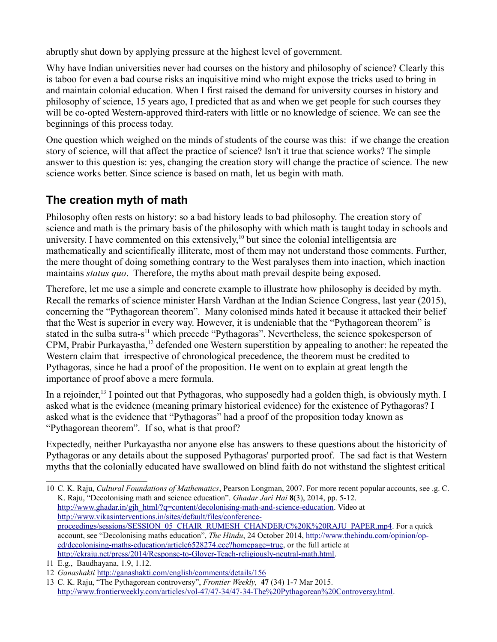abruptly shut down by applying pressure at the highest level of government.

Why have Indian universities never had courses on the history and philosophy of science? Clearly this is taboo for even a bad course risks an inquisitive mind who might expose the tricks used to bring in and maintain colonial education. When I first raised the demand for university courses in history and philosophy of science, 15 years ago, I predicted that as and when we get people for such courses they will be co-opted Western-approved third-raters with little or no knowledge of science. We can see the beginnings of this process today.

One question which weighed on the minds of students of the course was this: if we change the creation story of science, will that affect the practice of science? Isn't it true that science works? The simple answer to this question is: yes, changing the creation story will change the practice of science. The new science works better. Since science is based on math, let us begin with math.

# **The creation myth of math**

Philosophy often rests on history: so a bad history leads to bad philosophy. The creation story of science and math is the primary basis of the philosophy with which math is taught today in schools and university. I have commented on this extensively,<sup>[10](#page-2-0)</sup> but since the colonial intelligentsia are mathematically and scientifically illiterate, most of them may not understand those comments. Further, the mere thought of doing something contrary to the West paralyses them into inaction, which inaction maintains *status quo*. Therefore, the myths about math prevail despite being exposed.

Therefore, let me use a simple and concrete example to illustrate how philosophy is decided by myth. Recall the remarks of science minister Harsh Vardhan at the Indian Science Congress, last year (2015), concerning the "Pythagorean theorem". Many colonised minds hated it because it attacked their belief that the West is superior in every way. However, it is undeniable that the "Pythagorean theorem" is stated in the sulba sutra-s<sup>[11](#page-2-1)</sup> which precede "Pythagoras". Nevertheless, the science spokesperson of CPM, Prabir Purkayastha,<sup>[12](#page-2-2)</sup> defended one Western superstition by appealing to another: he repeated the Western claim that irrespective of chronological precedence, the theorem must be credited to Pythagoras, since he had a proof of the proposition. He went on to explain at great length the importance of proof above a mere formula.

In a rejoinder,<sup>[13](#page-2-3)</sup> I pointed out that Pythagoras, who supposedly had a golden thigh, is obviously myth. I asked what is the evidence (meaning primary historical evidence) for the existence of Pythagoras? I asked what is the evidence that "Pythagoras" had a proof of the proposition today known as "Pythagorean theorem". If so, what is that proof?

Expectedly, neither Purkayastha nor anyone else has answers to these questions about the historicity of Pythagoras or any details about the supposed Pythagoras' purported proof. The sad fact is that Western myths that the colonially educated have swallowed on blind faith do not withstand the slightest critical

<span id="page-2-0"></span><sup>10</sup> C. K. Raju, *Cultural Foundations of Mathematics*, Pearson Longman, 2007. For more recent popular accounts, see .g. C. K. Raju, "Decolonising math and science education". *Ghadar Jari Hai* **8**(3), 2014, pp. 5-12. [http://www.ghadar.in/gjh\\_html/?q=content/decolonising-math-and-science-education.](http://www.ghadar.in/gjh_html/?q=content/decolonising-math-and-science-education) Video at [http://www.vikasinterventions.in/sites/default/files/conference](http://www.vikasinterventions.in/sites/default/files/conference-proceedings/sessions/SESSION_05_CHAIR_RUMESH_CHANDER/C%20K%20RAJU_PAPER.mp4)[proceedings/sessions/SESSION\\_05\\_CHAIR\\_RUMESH\\_CHANDER/C%20K%20RAJU\\_PAPER.mp4.](http://www.vikasinterventions.in/sites/default/files/conference-proceedings/sessions/SESSION_05_CHAIR_RUMESH_CHANDER/C%20K%20RAJU_PAPER.mp4) For a quick account, see "Decolonising maths education", *The Hindu*, 24 October 2014, [http://www.thehindu.com/opinion/op](http://www.thehindu.com/opinion/op-ed/decolonising-maths-education/article6528274.ece?homepage=true)[ed/decolonising-maths-education/article6528274.ece?homepage=true,](http://www.thehindu.com/opinion/op-ed/decolonising-maths-education/article6528274.ece?homepage=true) or the full article at [http://ckraju.net/press/2014/Response-to-Glover-Teach-religiously-neutral-math.html.](http://ckraju.net/press/2014/Response-to-Glover-Teach-religiously-neutral-math.html)

<span id="page-2-1"></span><sup>11</sup> E.g., Baudhayana, 1.9, 1.12.

<span id="page-2-2"></span><sup>12</sup> *Ganashakti* <http://ganashakti.com/english/comments/details/156>

<span id="page-2-3"></span><sup>13</sup> C. K. Raju, "The Pythagorean controversy", *Frontier Weekly*, **47** (34) 1-7 Mar 2015. [http://www.frontierweekly.com/articles/vol-47/47-34/47-34-The%20Pythagorean%20Controversy.html.](http://www.frontierweekly.com/articles/vol-47/47-34/47-34-The%20Pythagorean%20Controversy.html)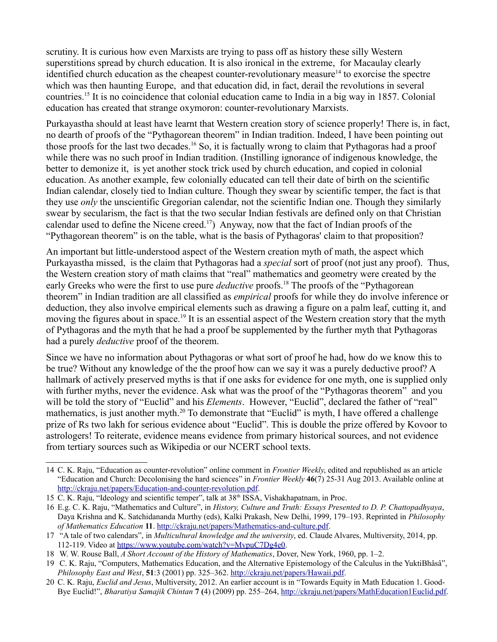scrutiny. It is curious how even Marxists are trying to pass off as history these silly Western superstitions spread by church education. It is also ironical in the extreme, for Macaulay clearly identified church education as the cheapest counter-revolutionary measure<sup>[14](#page-3-0)</sup> to exorcise the spectre which was then haunting Europe, and that education did, in fact, derail the revolutions in several countries.[15](#page-3-1) It is no coincidence that colonial education came to India in a big way in 1857. Colonial education has created that strange oxymoron: counter-revolutionary Marxists.

Purkayastha should at least have learnt that Western creation story of science properly! There is, in fact, no dearth of proofs of the "Pythagorean theorem" in Indian tradition. Indeed, I have been pointing out those proofs for the last two decades.[16](#page-3-2) So, it is factually wrong to claim that Pythagoras had a proof while there was no such proof in Indian tradition. (Instilling ignorance of indigenous knowledge, the better to demonize it, is yet another stock trick used by church education, and copied in colonial education. As another example, few colonially educated can tell their date of birth on the scientific Indian calendar, closely tied to Indian culture. Though they swear by scientific temper, the fact is that they use *only* the unscientific Gregorian calendar, not the scientific Indian one. Though they similarly swear by secularism, the fact is that the two secular Indian festivals are defined only on that Christian calendar used to define the Nicene creed.<sup>[17](#page-3-3)</sup>) Anyway, now that the fact of Indian proofs of the "Pythagorean theorem" is on the table, what is the basis of Pythagoras' claim to that proposition?

An important but little-understood aspect of the Western creation myth of math, the aspect which Purkayastha missed, is the claim that Pythagoras had a *special* sort of proof (not just any proof). Thus, the Western creation story of math claims that "real" mathematics and geometry were created by the early Greeks who were the first to use pure *deductive* proofs.<sup>[18](#page-3-4)</sup> The proofs of the "Pythagorean" theorem" in Indian tradition are all classified as *empirical* proofs for while they do involve inference or deduction, they also involve empirical elements such as drawing a figure on a palm leaf, cutting it, and moving the figures about in space.<sup>[19](#page-3-5)</sup> It is an essential aspect of the Western creation story that the myth of Pythagoras and the myth that he had a proof be supplemented by the further myth that Pythagoras had a purely *deductive* proof of the theorem.

Since we have no information about Pythagoras or what sort of proof he had, how do we know this to be true? Without any knowledge of the the proof how can we say it was a purely deductive proof? A hallmark of actively preserved myths is that if one asks for evidence for one myth, one is supplied only with further myths, never the evidence. Ask what was the proof of the "Pythagoras theorem" and you will be told the story of "Euclid" and his *Elements*. However, "Euclid", declared the father of "real" mathematics, is just another myth.<sup>[20](#page-3-6)</sup> To demonstrate that "Euclid" is myth, I have offered a challenge prize of Rs two lakh for serious evidence about "Euclid". This is double the prize offered by Kovoor to astrologers! To reiterate, evidence means evidence from primary historical sources, and not evidence from tertiary sources such as Wikipedia or our NCERT school texts.

<span id="page-3-0"></span><sup>14</sup> C. K. Raju, "Education as counter-revolution" online comment in *Frontier Weekly*, edited and republished as an article "Education and Church: Decolonising the hard sciences" in *Frontier Weekly* **46**(7) 25-31 Aug 2013. Available online at [http://ckraju.net/papers/Education-and-counter-revolution.pdf.](http://ckraju.net/papers/Education-and-counter-revolution.pdf)

<span id="page-3-1"></span><sup>15</sup> C. K. Raju, "Ideology and scientific temper", talk at 38<sup>th</sup> ISSA, Vishakhapatnam, in Proc.

<span id="page-3-2"></span><sup>16</sup> E.g. C. K. Raju, "Mathematics and Culture", in *History, Culture and Truth: Essays Presented to D. P. Chattopadhyaya*, Daya Krishna and K. Satchidananda Murthy (eds), Kalki Prakash, New Delhi, 1999, 179–193. Reprinted in *Philosophy of Mathematics Education* **11**. [http://ckraju.net/papers/Mathematics-and-culture.pdf.](http://ckraju.net/papers/Mathematics-and-culture.pdf)

<span id="page-3-3"></span><sup>17 &</sup>quot;A tale of two calendars", in *Multicultural knowledge and the university*, ed. Claude Alvares, Multiversity, 2014, pp. 112-119. Video at [https://www.youtube.com/watch?v=MvpuC7Dg4e0.](https://www.youtube.com/watch?v=MvpuC7Dg4e0)

<span id="page-3-4"></span><sup>18</sup> W. W. Rouse Ball, *A Short Account of the History of Mathematics*, Dover, New York, 1960, pp. 1–2.

<span id="page-3-5"></span><sup>19</sup> C. K. Raju, "Computers, Mathematics Education, and the Alternative Epistemology of the Calculus in the YuktiBhâsâ", *Philosophy East and West*, **51**:3 (2001) pp. 325–362. [http://ckraju.net/papers/Hawaii.pdf.](http://ckraju.net/papers/Hawaii.pdf)

<span id="page-3-6"></span><sup>20</sup> C. K. Raju, *Euclid and Jesus*, Multiversity, 2012. An earlier account is in "Towards Equity in Math Education 1. Good-Bye Euclid!", *Bharatiya Samajik Chintan* **7 (**4) (2009) pp. 255–264, [http://ckraju.net/papers/MathEducation1Euclid.pdf.](http://ckraju.net/papers/MathEducation1Euclid.pdf)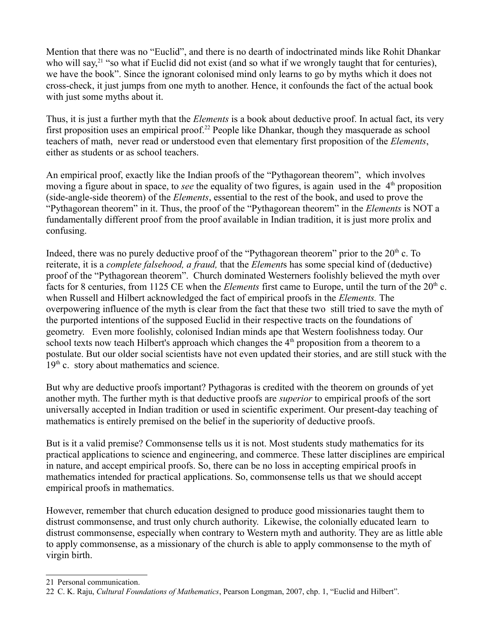Mention that there was no "Euclid", and there is no dearth of indoctrinated minds like Rohit Dhankar who will say,<sup>[21](#page-4-0)</sup> "so what if Euclid did not exist (and so what if we wrongly taught that for centuries), we have the book". Since the ignorant colonised mind only learns to go by myths which it does not cross-check, it just jumps from one myth to another. Hence, it confounds the fact of the actual book with just some myths about it.

Thus, it is just a further myth that the *Elements* is a book about deductive proof. In actual fact, its very first proposition uses an empirical proof.<sup>[22](#page-4-1)</sup> People like Dhankar, though they masquerade as school teachers of math, never read or understood even that elementary first proposition of the *Elements*, either as students or as school teachers.

An empirical proof, exactly like the Indian proofs of the "Pythagorean theorem", which involves moving a figure about in space, to *see* the equality of two figures, is again used in the 4<sup>th</sup> proposition (side-angle-side theorem) of the *Elements*, essential to the rest of the book, and used to prove the "Pythagorean theorem" in it. Thus, the proof of the "Pythagorean theorem" in the *Elements* is NOT a fundamentally different proof from the proof available in Indian tradition, it is just more prolix and confusing.

Indeed, there was no purely deductive proof of the "Pythagorean theorem" prior to the 20<sup>th</sup> c. To reiterate, it is a *complete falsehood, a fraud,* that the *Element*s has some special kind of (deductive) proof of the "Pythagorean theorem". Church dominated Westerners foolishly believed the myth over facts for 8 centuries, from 1125 CE when the *Elements* first came to Europe, until the turn of the 20<sup>th</sup> c. when Russell and Hilbert acknowledged the fact of empirical proofs in the *Elements.* The overpowering influence of the myth is clear from the fact that these two still tried to save the myth of the purported intentions of the supposed Euclid in their respective tracts on the foundations of geometry. Even more foolishly, colonised Indian minds ape that Western foolishness today. Our school texts now teach Hilbert's approach which changes the  $4<sup>th</sup>$  proposition from a theorem to a postulate. But our older social scientists have not even updated their stories, and are still stuck with the  $19<sup>th</sup>$  c. story about mathematics and science.

But why are deductive proofs important? Pythagoras is credited with the theorem on grounds of yet another myth. The further myth is that deductive proofs are *superior* to empirical proofs of the sort universally accepted in Indian tradition or used in scientific experiment. Our present-day teaching of mathematics is entirely premised on the belief in the superiority of deductive proofs.

But is it a valid premise? Commonsense tells us it is not. Most students study mathematics for its practical applications to science and engineering, and commerce. These latter disciplines are empirical in nature, and accept empirical proofs. So, there can be no loss in accepting empirical proofs in mathematics intended for practical applications. So, commonsense tells us that we should accept empirical proofs in mathematics.

However, remember that church education designed to produce good missionaries taught them to distrust commonsense, and trust only church authority. Likewise, the colonially educated learn to distrust commonsense, especially when contrary to Western myth and authority. They are as little able to apply commonsense, as a missionary of the church is able to apply commonsense to the myth of virgin birth.

<span id="page-4-0"></span><sup>21</sup> Personal communication.

<span id="page-4-1"></span><sup>22</sup> C. K. Raju, *Cultural Foundations of Mathematics*, Pearson Longman, 2007, chp. 1, "Euclid and Hilbert".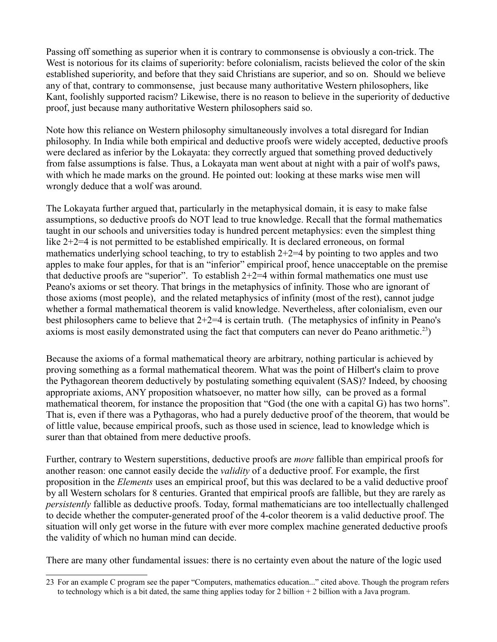Passing off something as superior when it is contrary to commonsense is obviously a con-trick. The West is notorious for its claims of superiority: before colonialism, racists believed the color of the skin established superiority, and before that they said Christians are superior, and so on. Should we believe any of that, contrary to commonsense, just because many authoritative Western philosophers, like Kant, foolishly supported racism? Likewise, there is no reason to believe in the superiority of deductive proof, just because many authoritative Western philosophers said so.

Note how this reliance on Western philosophy simultaneously involves a total disregard for Indian philosophy. In India while both empirical and deductive proofs were widely accepted, deductive proofs were declared as inferior by the Lokayata: they correctly argued that something proved deductively from false assumptions is false. Thus, a Lokayata man went about at night with a pair of wolf's paws, with which he made marks on the ground. He pointed out: looking at these marks wise men will wrongly deduce that a wolf was around.

The Lokayata further argued that, particularly in the metaphysical domain, it is easy to make false assumptions, so deductive proofs do NOT lead to true knowledge. Recall that the formal mathematics taught in our schools and universities today is hundred percent metaphysics: even the simplest thing like 2+2=4 is not permitted to be established empirically. It is declared erroneous, on formal mathematics underlying school teaching, to try to establish  $2+2=4$  by pointing to two apples and two apples to make four apples, for that is an "inferior" empirical proof, hence unacceptable on the premise that deductive proofs are "superior". To establish  $2+2=4$  within formal mathematics one must use Peano's axioms or set theory. That brings in the metaphysics of infinity. Those who are ignorant of those axioms (most people), and the related metaphysics of infinity (most of the rest), cannot judge whether a formal mathematical theorem is valid knowledge. Nevertheless, after colonialism, even our best philosophers came to believe that 2+2=4 is certain truth. (The metaphysics of infinity in Peano's axioms is most easily demonstrated using the fact that computers can never do Peano arithmetic.<sup>[23](#page-5-0)</sup>)

Because the axioms of a formal mathematical theory are arbitrary, nothing particular is achieved by proving something as a formal mathematical theorem. What was the point of Hilbert's claim to prove the Pythagorean theorem deductively by postulating something equivalent (SAS)? Indeed, by choosing appropriate axioms, ANY proposition whatsoever, no matter how silly, can be proved as a formal mathematical theorem, for instance the proposition that "God (the one with a capital G) has two horns". That is, even if there was a Pythagoras, who had a purely deductive proof of the theorem, that would be of little value, because empirical proofs, such as those used in science, lead to knowledge which is surer than that obtained from mere deductive proofs.

Further, contrary to Western superstitions, deductive proofs are *more* fallible than empirical proofs for another reason: one cannot easily decide the *validity* of a deductive proof. For example, the first proposition in the *Elements* uses an empirical proof, but this was declared to be a valid deductive proof by all Western scholars for 8 centuries. Granted that empirical proofs are fallible, but they are rarely as *persistently* fallible as deductive proofs. Today, formal mathematicians are too intellectually challenged to decide whether the computer-generated proof of the 4-color theorem is a valid deductive proof. The situation will only get worse in the future with ever more complex machine generated deductive proofs the validity of which no human mind can decide.

There are many other fundamental issues: there is no certainty even about the nature of the logic used

<span id="page-5-0"></span><sup>23</sup> For an example C program see the paper "Computers, mathematics education..." cited above. Though the program refers to technology which is a bit dated, the same thing applies today for 2 billion + 2 billion with a Java program.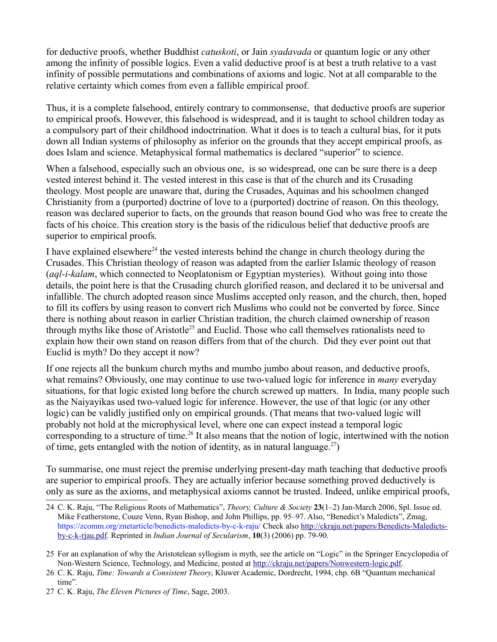for deductive proofs, whether Buddhist *catuskoti*, or Jain *syadavada* or quantum logic or any other among the infinity of possible logics. Even a valid deductive proof is at best a truth relative to a vast infinity of possible permutations and combinations of axioms and logic. Not at all comparable to the relative certainty which comes from even a fallible empirical proof.

Thus, it is a complete falsehood, entirely contrary to commonsense, that deductive proofs are superior to empirical proofs. However, this falsehood is widespread, and it is taught to school children today as a compulsory part of their childhood indoctrination. What it does is to teach a cultural bias, for it puts down all Indian systems of philosophy as inferior on the grounds that they accept empirical proofs, as does Islam and science. Metaphysical formal mathematics is declared "superior" to science.

When a falsehood, especially such an obvious one, is so widespread, one can be sure there is a deep vested interest behind it. The vested interest in this case is that of the church and its Crusading theology. Most people are unaware that, during the Crusades, Aquinas and his schoolmen changed Christianity from a (purported) doctrine of love to a (purported) doctrine of reason. On this theology, reason was declared superior to facts, on the grounds that reason bound God who was free to create the facts of his choice. This creation story is the basis of the ridiculous belief that deductive proofs are superior to empirical proofs.

I have explained elsewhere<sup>[24](#page-6-0)</sup> the vested interests behind the change in church theology during the Crusades. This Christian theology of reason was adapted from the earlier Islamic theology of reason (*aql-i-kalam*, which connected to Neoplatonism or Egyptian mysteries). Without going into those details, the point here is that the Crusading church glorified reason, and declared it to be universal and infallible. The church adopted reason since Muslims accepted only reason, and the church, then, hoped to fill its coffers by using reason to convert rich Muslims who could not be converted by force. Since there is nothing about reason in earlier Christian tradition, the church claimed ownership of reason through myths like those of Aristotle<sup>[25](#page-6-1)</sup> and Euclid. Those who call themselves rationalists need to explain how their own stand on reason differs from that of the church. Did they ever point out that Euclid is myth? Do they accept it now?

If one rejects all the bunkum church myths and mumbo jumbo about reason, and deductive proofs, what remains? Obviously, one may continue to use two-valued logic for inference in *many* everyday situations, for that logic existed long before the church screwed up matters. In India, many people such as the Naiyayikas used two-valued logic for inference. However, the use of that logic (or any other logic) can be validly justified only on empirical grounds. (That means that two-valued logic will probably not hold at the microphysical level, where one can expect instead a temporal logic corresponding to a structure of time.<sup>[26](#page-6-2)</sup> It also means that the notion of logic, intertwined with the notion of time, gets entangled with the notion of identity, as in natural language.<sup>[27](#page-6-3)</sup>)

To summarise, one must reject the premise underlying present-day math teaching that deductive proofs are superior to empirical proofs. They are actually inferior because something proved deductively is only as sure as the axioms, and metaphysical axioms cannot be trusted. Indeed, unlike empirical proofs,

<span id="page-6-0"></span><sup>24</sup> C. K. Raju, "The Religious Roots of Mathematics", *Theory, Culture & Society* **23**(1–2) Jan-March 2006, Spl. Issue ed. Mike Featherstone, Couze Venn, Ryan Bishop, and John Phillips, pp. 95–97. Also, "Benedict's Maledicts", Zmag, https://zcomm.org/znetarticle/benedicts-maledicts-by-c-k-raju/ Check also [http://ckraju.net/papers/Benedicts-Maledicts](http://ckraju.net/papers/Benedicts-Maledicts-by-c-k-rjau.pdf)[by-c-k-rjau.pdf.](http://ckraju.net/papers/Benedicts-Maledicts-by-c-k-rjau.pdf) Reprinted in *Indian Journal of Secularism*, **10**(3) (2006) pp. 79-90.

<span id="page-6-1"></span><sup>25</sup> For an explanation of why the Aristotelean syllogism is myth, see the article on "Logic" in the Springer Encyclopedia of Non-Western Science, Technology, and Medicine, posted at [http://ckraju.net/papers/Nonwestern-logic.pdf.](http://ckraju.net/papers/Nonwestern-logic.pdf)

<span id="page-6-2"></span><sup>26</sup> C. K. Raju, *Time: Towards a Consistent Theory*, Kluwer Academic, Dordrecht, 1994, chp. 6B "Quantum mechanical time".

<span id="page-6-3"></span><sup>27</sup> C. K. Raju, *The Eleven Pictures of Time*, Sage, 2003.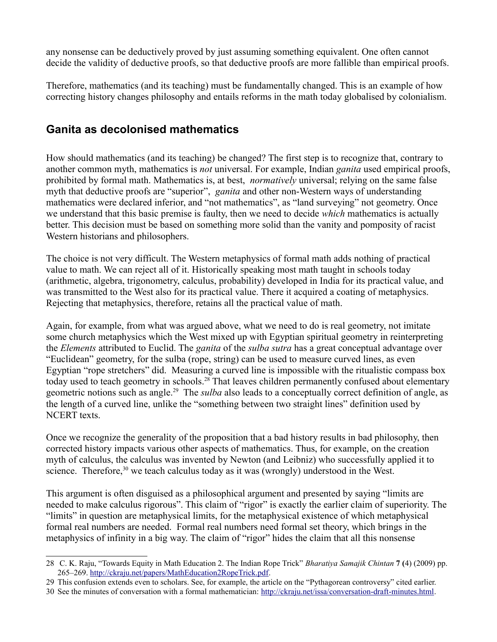any nonsense can be deductively proved by just assuming something equivalent. One often cannot decide the validity of deductive proofs, so that deductive proofs are more fallible than empirical proofs.

Therefore, mathematics (and its teaching) must be fundamentally changed. This is an example of how correcting history changes philosophy and entails reforms in the math today globalised by colonialism.

#### **Ganita as decolonised mathematics**

How should mathematics (and its teaching) be changed? The first step is to recognize that, contrary to another common myth, mathematics is *not* universal. For example, Indian *ganita* used empirical proofs, prohibited by formal math. Mathematics is, at best, *normatively* universal; relying on the same false myth that deductive proofs are "superior", *ganita* and other non-Western ways of understanding mathematics were declared inferior, and "not mathematics", as "land surveying" not geometry. Once we understand that this basic premise is faulty, then we need to decide *which* mathematics is actually better. This decision must be based on something more solid than the vanity and pomposity of racist Western historians and philosophers.

The choice is not very difficult. The Western metaphysics of formal math adds nothing of practical value to math. We can reject all of it. Historically speaking most math taught in schools today (arithmetic, algebra, trigonometry, calculus, probability) developed in India for its practical value, and was transmitted to the West also for its practical value. There it acquired a coating of metaphysics. Rejecting that metaphysics, therefore, retains all the practical value of math.

Again, for example, from what was argued above, what we need to do is real geometry, not imitate some church metaphysics which the West mixed up with Egyptian spiritual geometry in reinterpreting the *Elements* attributed to Euclid. The *ganita* of the *sulba sutra* has a great conceptual advantage over "Euclidean" geometry, for the sulba (rope, string) can be used to measure curved lines, as even Egyptian "rope stretchers" did. Measuring a curved line is impossible with the ritualistic compass box today used to teach geometry in schools.<sup>[28](#page-7-0)</sup> That leaves children permanently confused about elementary geometric notions such as angle.[29](#page-7-1) The *sulba* also leads to a conceptually correct definition of angle, as the length of a curved line, unlike the "something between two straight lines" definition used by NCERT texts.

Once we recognize the generality of the proposition that a bad history results in bad philosophy, then corrected history impacts various other aspects of mathematics. Thus, for example, on the creation myth of calculus, the calculus was invented by Newton (and Leibniz) who successfully applied it to science. Therefore,<sup>[30](#page-7-2)</sup> we teach calculus today as it was (wrongly) understood in the West.

This argument is often disguised as a philosophical argument and presented by saying "limits are needed to make calculus rigorous". This claim of "rigor" is exactly the earlier claim of superiority. The "limits" in question are metaphysical limits, for the metaphysical existence of which metaphysical formal real numbers are needed. Formal real numbers need formal set theory, which brings in the metaphysics of infinity in a big way. The claim of "rigor" hides the claim that all this nonsense

- <span id="page-7-1"></span>29 This confusion extends even to scholars. See, for example, the article on the "Pythagorean controversy" cited earlier.
- <span id="page-7-2"></span>30 See the minutes of conversation with a formal mathematician: [http://ckraju.net/issa/conversation-draft-minutes.html.](http://ckraju.net/issa/conversation-draft-minutes.html)

<span id="page-7-0"></span><sup>28</sup> C. K. Raju, "Towards Equity in Math Education 2. The Indian Rope Trick" *Bharatiya Samajik Chintan* **7 (**4) (2009) pp. 265–269. [http://ckraju.net/papers/MathEducation2RopeTrick.pdf.](http://ckraju.net/papers/MathEducation2RopeTrick.pdf)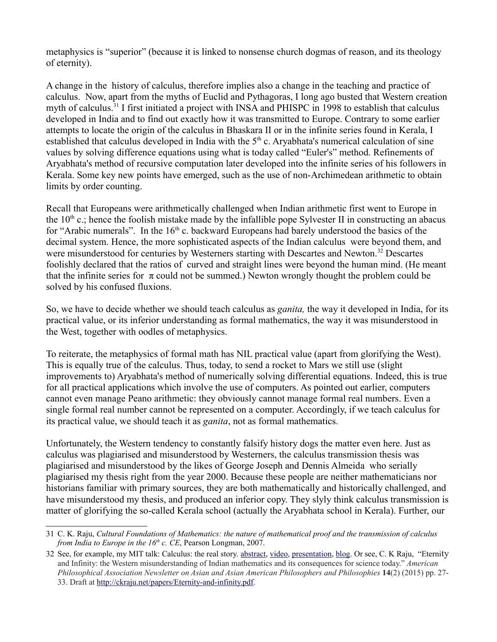metaphysics is "superior" (because it is linked to nonsense church dogmas of reason, and its theology of eternity).

A change in the history of calculus, therefore implies also a change in the teaching and practice of calculus. Now, apart from the myths of Euclid and Pythagoras, I long ago busted that Western creation myth of calculus.<sup>[31](#page-8-0)</sup> I first initiated a project with INSA and PHISPC in 1998 to establish that calculus developed in India and to find out exactly how it was transmitted to Europe. Contrary to some earlier attempts to locate the origin of the calculus in Bhaskara II or in the infinite series found in Kerala, I established that calculus developed in India with the  $5<sup>th</sup>$  c. Aryabhata's numerical calculation of sine values by solving difference equations using what is today called "Euler's" method. Refinements of Aryabhata's method of recursive computation later developed into the infinite series of his followers in Kerala. Some key new points have emerged, such as the use of non-Archimedean arithmetic to obtain limits by order counting.

Recall that Europeans were arithmetically challenged when Indian arithmetic first went to Europe in the  $10<sup>th</sup>$  c.; hence the foolish mistake made by the infallible pope Sylvester II in constructing an abacus for "Arabic numerals". In the  $16<sup>th</sup>$  c. backward Europeans had barely understood the basics of the decimal system. Hence, the more sophisticated aspects of the Indian calculus were beyond them, and were misunderstood for centuries by Westerners starting with Descartes and Newton.<sup>[32](#page-8-1)</sup> Descartes foolishly declared that the ratios of curved and straight lines were beyond the human mind. (He meant that the infinite series for  $\pi$  could not be summed.) Newton wrongly thought the problem could be solved by his confused fluxions.

So, we have to decide whether we should teach calculus as *ganita,* the way it developed in India, for its practical value, or its inferior understanding as formal mathematics, the way it was misunderstood in the West, together with oodles of metaphysics.

To reiterate, the metaphysics of formal math has NIL practical value (apart from glorifying the West). This is equally true of the calculus. Thus, today, to send a rocket to Mars we still use (slight improvements to) Aryabhata's method of numerically solving differential equations. Indeed, this is true for all practical applications which involve the use of computers. As pointed out earlier, computers cannot even manage Peano arithmetic: they obviously cannot manage formal real numbers. Even a single formal real number cannot be represented on a computer. Accordingly, if we teach calculus for its practical value, we should teach it as *ganita*, not as formal mathematics.

Unfortunately, the Western tendency to constantly falsify history dogs the matter even here. Just as calculus was plagiarised and misunderstood by Westerners, the calculus transmission thesis was plagiarised and misunderstood by the likes of George Joseph and Dennis Almeida who serially plagiarised my thesis right from the year 2000. Because these people are neither mathematicians nor historians familiar with primary sources, they are both mathematically and historically challenged, and have misunderstood my thesis, and produced an inferior copy. They slyly think calculus transmission is matter of glorifying the so-called Kerala school (actually the Aryabhata school in Kerala). Further, our

<span id="page-8-0"></span><sup>31</sup> C. K. Raju, *Cultural Foundations of Mathematics: the nature of mathematical proof and the transmission of calculus from India to Europe in the 16<sup>th</sup> c. CE*, Pearson Longman, 2007.

<span id="page-8-1"></span><sup>32</sup> See, for example, my MIT talk: Calculus: the real story. [abstract,](http://ckraju.net/papers/Calculus-story-abstract.html) [video,](https://youtu.be/IaodCGDjqzs) [presentation,](http://ckraju.net/papers/presentations/MIT.pdf) [blog.](http://ckraju.net/blog/?p=106) Or see, C. K Raju, "Eternity and Infinity: the Western misunderstanding of Indian mathematics and its consequences for science today." *American Philosophical Association Newsletter on Asian and Asian American Philosophers and Philosophies* **14**(2) (2015) pp. 27- 33. Draft at [http://ckraju.net/papers/Eternity-and-infinity.pdf.](http://ckraju.net/papers/Eternity-and-infinity.pdf)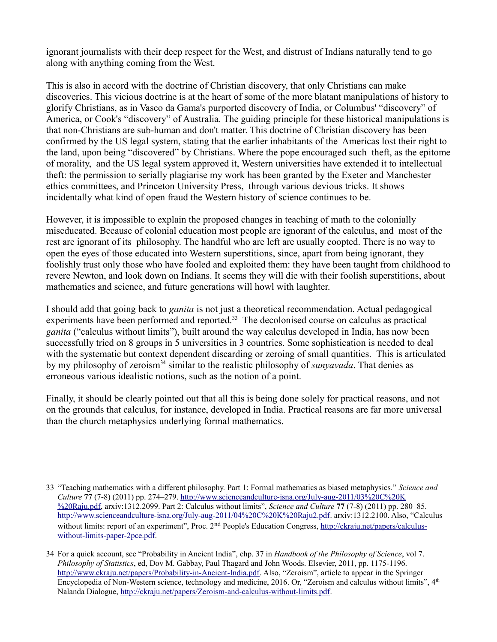ignorant journalists with their deep respect for the West, and distrust of Indians naturally tend to go along with anything coming from the West.

This is also in accord with the doctrine of Christian discovery, that only Christians can make discoveries. This vicious doctrine is at the heart of some of the more blatant manipulations of history to glorify Christians, as in Vasco da Gama's purported discovery of India, or Columbus' "discovery" of America, or Cook's "discovery" of Australia. The guiding principle for these historical manipulations is that non-Christians are sub-human and don't matter. This doctrine of Christian discovery has been confirmed by the US legal system, stating that the earlier inhabitants of the Americas lost their right to the land, upon being "discovered" by Christians. Where the pope encouraged such theft, as the epitome of morality, and the US legal system approved it, Western universities have extended it to intellectual theft: the permission to serially plagiarise my work has been granted by the Exeter and Manchester ethics committees, and Princeton University Press, through various devious tricks. It shows incidentally what kind of open fraud the Western history of science continues to be.

However, it is impossible to explain the proposed changes in teaching of math to the colonially miseducated. Because of colonial education most people are ignorant of the calculus, and most of the rest are ignorant of its philosophy. The handful who are left are usually coopted. There is no way to open the eyes of those educated into Western superstitions, since, apart from being ignorant, they foolishly trust only those who have fooled and exploited them: they have been taught from childhood to revere Newton, and look down on Indians. It seems they will die with their foolish superstitions, about mathematics and science, and future generations will howl with laughter.

I should add that going back to *ganita* is not just a theoretical recommendation. Actual pedagogical experiments have been performed and reported.<sup>[33](#page-9-0)</sup> The decolonised course on calculus as practical *ganita* ("calculus without limits"), built around the way calculus developed in India, has now been successfully tried on 8 groups in 5 universities in 3 countries. Some sophistication is needed to deal with the systematic but context dependent discarding or zeroing of small quantities. This is articulated by my philosophy of zeroism<sup>[34](#page-9-1)</sup> similar to the realistic philosophy of *sunyavada*. That denies as erroneous various idealistic notions, such as the notion of a point.

Finally, it should be clearly pointed out that all this is being done solely for practical reasons, and not on the grounds that calculus, for instance, developed in India. Practical reasons are far more universal than the church metaphysics underlying formal mathematics.

<span id="page-9-0"></span><sup>33</sup> "Teaching mathematics with a different philosophy. Part 1: Formal mathematics as biased metaphysics." *Science and Culture* **77** (7-8) (2011) pp. 274–279. [http://www.scienceandculture-isna.org/July-aug-2011/03%20C%20K](http://www.scienceandculture-isna.org/July-aug-2011/03%20C%20K%20Raju.pdf) [%20Raju.pdf,](http://www.scienceandculture-isna.org/July-aug-2011/03%20C%20K%20Raju.pdf) arxiv:1312.2099. Part 2: Calculus without limits", *Science and Culture* **77** (7-8) (2011) pp. 280–85. [http://www.scienceandculture-isna.org/July-aug-2011/04%20C%20K%20Raju2.pdf.](http://www.scienceandculture-isna.org/July-aug-2011/04%20C%20K%20Raju2.pdf) arxiv:1312.2100. Also, "Calculus without limits: report of an experiment", Proc. 2<sup>nd</sup> People's Education Congress, [http://ckraju.net/papers/calculus](http://ckraju.net/papers/calculus-without-limits-paper-2pce.pdf)[without-limits-paper-2pce.pdf.](http://ckraju.net/papers/calculus-without-limits-paper-2pce.pdf)

<span id="page-9-1"></span><sup>34</sup> For a quick account, see "Probability in Ancient India", chp. 37 in *Handbook of the Philosophy of Science*, vol 7. *Philosophy of Statistics*, ed, Dov M. Gabbay, Paul Thagard and John Woods. Elsevier, 2011, pp. 1175-1196. [http://www.ckraju.net/papers/Probability-in-Ancient-India.pdf.](http://www.ckraju.net/papers/Probability-in-Ancient-India.pdf) Also, "Zeroism", article to appear in the Springer Encyclopedia of Non-Western science, technology and medicine, 2016. Or, "Zeroism and calculus without limits", 4<sup>th</sup> Nalanda Dialogue, [http://ckraju.net/papers/Zeroism-and-calculus-without-limits.pdf.](http://ckraju.net/papers/Zeroism-and-calculus-without-limits.pdf)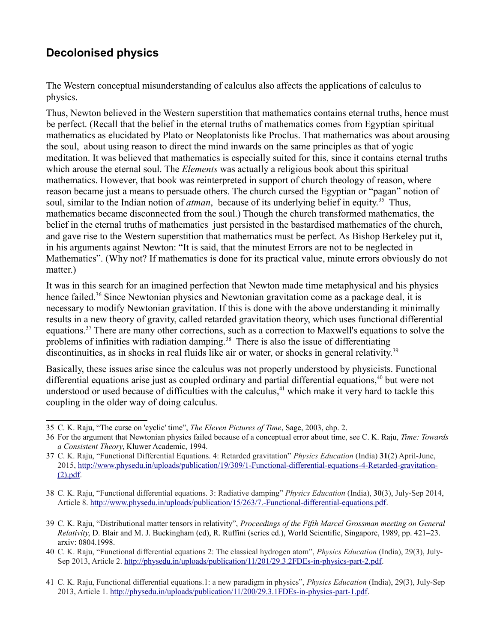### **Decolonised physics**

The Western conceptual misunderstanding of calculus also affects the applications of calculus to physics.

Thus, Newton believed in the Western superstition that mathematics contains eternal truths, hence must be perfect. (Recall that the belief in the eternal truths of mathematics comes from Egyptian spiritual mathematics as elucidated by Plato or Neoplatonists like Proclus. That mathematics was about arousing the soul, about using reason to direct the mind inwards on the same principles as that of yogic meditation. It was believed that mathematics is especially suited for this, since it contains eternal truths which arouse the eternal soul. The *Elements* was actually a religious book about this spiritual mathematics. However, that book was reinterpreted in support of church theology of reason, where reason became just a means to persuade others. The church cursed the Egyptian or "pagan" notion of soul, similar to the Indian notion of *atman*, because of its underlying belief in equity.<sup>[35](#page-10-0)</sup> Thus, mathematics became disconnected from the soul.) Though the church transformed mathematics, the belief in the eternal truths of mathematics just persisted in the bastardised mathematics of the church, and gave rise to the Western superstition that mathematics must be perfect. As Bishop Berkeley put it, in his arguments against Newton: "It is said, that the minutest Errors are not to be neglected in Mathematics". (Why not? If mathematics is done for its practical value, minute errors obviously do not matter.)

It was in this search for an imagined perfection that Newton made time metaphysical and his physics hence failed.<sup>[36](#page-10-1)</sup> Since Newtonian physics and Newtonian gravitation come as a package deal, it is necessary to modify Newtonian gravitation. If this is done with the above understanding it minimally results in a new theory of gravity, called retarded gravitation theory, which uses functional differential equations.[37](#page-10-2) There are many other corrections, such as a correction to Maxwell's equations to solve the problems of infinities with radiation damping.<sup>[38](#page-10-3)</sup> There is also the issue of differentiating discontinuities, as in shocks in real fluids like air or water, or shocks in general relativity.<sup>[39](#page-10-4)</sup>

Basically, these issues arise since the calculus was not properly understood by physicists. Functional differential equations arise just as coupled ordinary and partial differential equations,<sup>[40](#page-10-5)</sup> but were not understood or used because of difficulties with the calculus, $41$  which make it very hard to tackle this coupling in the older way of doing calculus.

<span id="page-10-6"></span>41 C. K. Raju, Functional differential equations.1: a new paradigm in physics", *Physics Education* (India), 29(3), July-Sep 2013, Article 1. [http://physedu.in/uploads/publication/11/200/29.3.1FDEs-in-physics-part-1.pdf.](http://physedu.in/uploads/publication/11/200/29.3.1FDEs-in-physics-part-1.pdf)

<span id="page-10-0"></span><sup>35</sup> C. K. Raju, "The curse on 'cyclic' time", *The Eleven Pictures of Time*, Sage, 2003, chp. 2.

<span id="page-10-1"></span><sup>36</sup> For the argument that Newtonian physics failed because of a conceptual error about time, see C. K. Raju, *Time: Towards a Consistent Theory*, Kluwer Academic, 1994.

<span id="page-10-2"></span><sup>37</sup> C. K. Raju, "Functional Differential Equations. 4: Retarded gravitation" *Physics Education* (India) **31**(2) April-June, 2015, [http://www.physedu.in/uploads/publication/19/309/1-Functional-differential-equations-4-Retarded-gravitation-](http://www.physedu.in/uploads/publication/19/309/1-Functional-differential-equations-4-Retarded-gravitation-(2).pdf) [\(2\).pdf.](http://www.physedu.in/uploads/publication/19/309/1-Functional-differential-equations-4-Retarded-gravitation-(2).pdf)

<span id="page-10-3"></span><sup>38</sup> C. K. Raju, "Functional differential equations. 3: Radiative damping" *Physics Education* (India), **30**(3), July-Sep 2014, Article 8. [http://www.physedu.in/uploads/publication/15/263/7.-Functional-differential-equations.pdf.](http://www.physedu.in/uploads/publication/15/263/7.-Functional-differential-equations.pdf)

<span id="page-10-4"></span><sup>39</sup> C. K. Raju, "Distributional matter tensors in relativity", *Proceedings of the Fifth Marcel Grossman meeting on General Relativity*, D. Blair and M. J. Buckingham (ed), R. Ruffini (series ed.), World Scientific, Singapore, 1989, pp. 421–23. arxiv: 0804.1998.

<span id="page-10-5"></span><sup>40</sup> C. K. Raju, "Functional differential equations 2: The classical hydrogen atom", *Physics Education* (India), 29(3), July-Sep 2013, Article 2. [http://physedu.in/uploads/publication/11/201/29.3.2FDEs-in-physics-part-2.pdf.](http://physedu.in/uploads/publication/11/201/29.3.2FDEs-in-physics-part-2.pdf)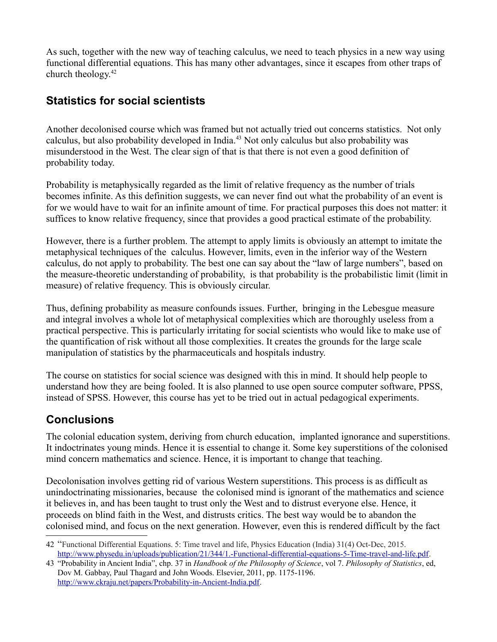As such, together with the new way of teaching calculus, we need to teach physics in a new way using functional differential equations. This has many other advantages, since it escapes from other traps of church theology. $42$ 

### **Statistics for social scientists**

Another decolonised course which was framed but not actually tried out concerns statistics. Not only calculus, but also probability developed in India.[43](#page-11-1) Not only calculus but also probability was misunderstood in the West. The clear sign of that is that there is not even a good definition of probability today.

Probability is metaphysically regarded as the limit of relative frequency as the number of trials becomes infinite. As this definition suggests, we can never find out what the probability of an event is for we would have to wait for an infinite amount of time. For practical purposes this does not matter: it suffices to know relative frequency, since that provides a good practical estimate of the probability.

However, there is a further problem. The attempt to apply limits is obviously an attempt to imitate the metaphysical techniques of the calculus. However, limits, even in the inferior way of the Western calculus, do not apply to probability. The best one can say about the "law of large numbers", based on the measure-theoretic understanding of probability, is that probability is the probabilistic limit (limit in measure) of relative frequency. This is obviously circular.

Thus, defining probability as measure confounds issues. Further, bringing in the Lebesgue measure and integral involves a whole lot of metaphysical complexities which are thoroughly useless from a practical perspective. This is particularly irritating for social scientists who would like to make use of the quantification of risk without all those complexities. It creates the grounds for the large scale manipulation of statistics by the pharmaceuticals and hospitals industry.

The course on statistics for social science was designed with this in mind. It should help people to understand how they are being fooled. It is also planned to use open source computer software, PPSS, instead of SPSS. However, this course has yet to be tried out in actual pedagogical experiments.

### **Conclusions**

The colonial education system, deriving from church education, implanted ignorance and superstitions. It indoctrinates young minds. Hence it is essential to change it. Some key superstitions of the colonised mind concern mathematics and science. Hence, it is important to change that teaching.

Decolonisation involves getting rid of various Western superstitions. This process is as difficult as unindoctrinating missionaries, because the colonised mind is ignorant of the mathematics and science it believes in, and has been taught to trust only the West and to distrust everyone else. Hence, it proceeds on blind faith in the West, and distrusts critics. The best way would be to abandon the colonised mind, and focus on the next generation. However, even this is rendered difficult by the fact

<span id="page-11-0"></span><sup>42</sup> "Functional Differential Equations. 5: Time travel and life, Physics Education (India) 31(4) Oct-Dec, 2015. [http://www.physedu.in/uploads/publication/21/344/1.-Functional-differential-equations-5-Time-travel-and-life.pdf.](http://www.physedu.in/uploads/publication/21/344/1.-Functional-differential-equations-5-Time-travel-and-life.pdf)

<span id="page-11-1"></span><sup>43</sup> "Probability in Ancient India", chp. 37 in *Handbook of the Philosophy of Science*, vol 7. *Philosophy of Statistics*, ed, Dov M. Gabbay, Paul Thagard and John Woods. Elsevier, 2011, pp. 1175-1196. [http://www.ckraju.net/papers/Probability-in-Ancient-India.pdf.](http://www.ckraju.net/papers/Probability-in-Ancient-India.pdf)